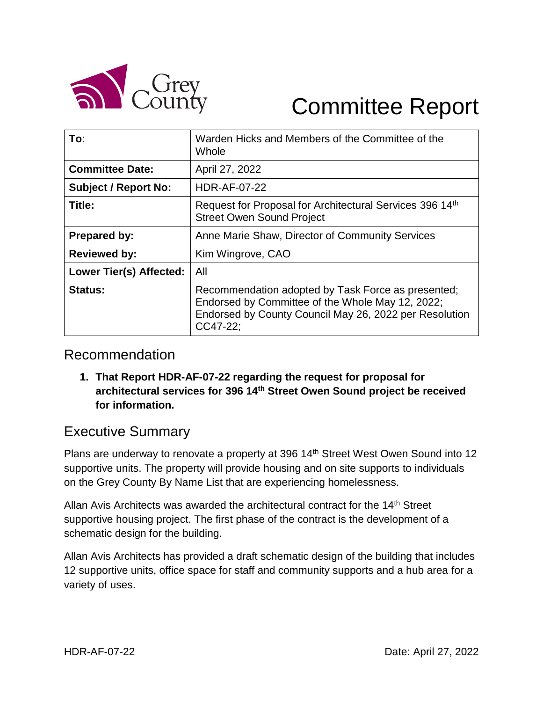

# Committee Report

| To:                         | Warden Hicks and Members of the Committee of the<br>Whole                                                                                                                    |
|-----------------------------|------------------------------------------------------------------------------------------------------------------------------------------------------------------------------|
| <b>Committee Date:</b>      | April 27, 2022                                                                                                                                                               |
| <b>Subject / Report No:</b> | <b>HDR-AF-07-22</b>                                                                                                                                                          |
| Title:                      | Request for Proposal for Architectural Services 396 14th<br><b>Street Owen Sound Project</b>                                                                                 |
| <b>Prepared by:</b>         | Anne Marie Shaw, Director of Community Services                                                                                                                              |
| <b>Reviewed by:</b>         | Kim Wingrove, CAO                                                                                                                                                            |
| Lower Tier(s) Affected:     | All                                                                                                                                                                          |
| <b>Status:</b>              | Recommendation adopted by Task Force as presented;<br>Endorsed by Committee of the Whole May 12, 2022;<br>Endorsed by County Council May 26, 2022 per Resolution<br>CC47-22: |

### Recommendation

**1. That Report HDR-AF-07-22 regarding the request for proposal for architectural services for 396 14th Street Owen Sound project be received for information.**

## Executive Summary

Plans are underway to renovate a property at 396 14<sup>th</sup> Street West Owen Sound into 12 supportive units. The property will provide housing and on site supports to individuals on the Grey County By Name List that are experiencing homelessness.

Allan Avis Architects was awarded the architectural contract for the 14<sup>th</sup> Street supportive housing project. The first phase of the contract is the development of a schematic design for the building.

Allan Avis Architects has provided a draft schematic design of the building that includes 12 supportive units, office space for staff and community supports and a hub area for a variety of uses.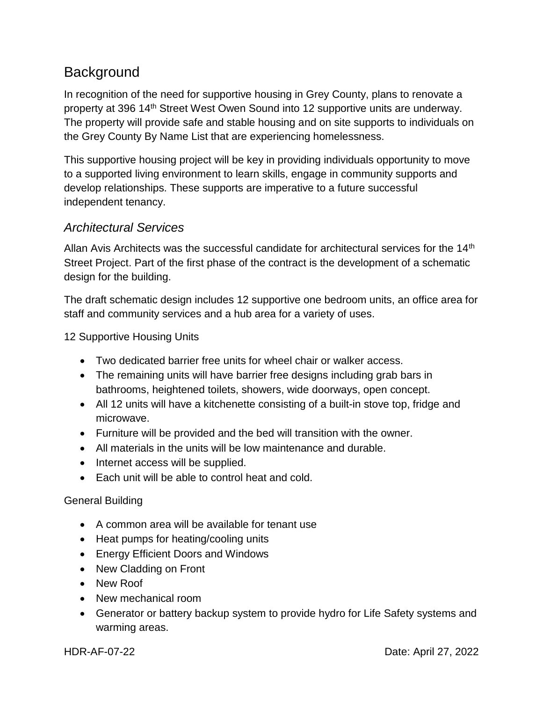# **Background**

In recognition of the need for supportive housing in Grey County, plans to renovate a property at 396 14th Street West Owen Sound into 12 supportive units are underway. The property will provide safe and stable housing and on site supports to individuals on the Grey County By Name List that are experiencing homelessness.

This supportive housing project will be key in providing individuals opportunity to move to a supported living environment to learn skills, engage in community supports and develop relationships. These supports are imperative to a future successful independent tenancy.

#### *Architectural Services*

Allan Avis Architects was the successful candidate for architectural services for the 14<sup>th</sup> Street Project. Part of the first phase of the contract is the development of a schematic design for the building.

The draft schematic design includes 12 supportive one bedroom units, an office area for staff and community services and a hub area for a variety of uses.

12 Supportive Housing Units

- Two dedicated barrier free units for wheel chair or walker access.
- The remaining units will have barrier free designs including grab bars in bathrooms, heightened toilets, showers, wide doorways, open concept.
- All 12 units will have a kitchenette consisting of a built-in stove top, fridge and microwave.
- Furniture will be provided and the bed will transition with the owner.
- All materials in the units will be low maintenance and durable.
- Internet access will be supplied.
- Each unit will be able to control heat and cold.

#### General Building

- A common area will be available for tenant use
- Heat pumps for heating/cooling units
- Energy Efficient Doors and Windows
- New Cladding on Front
- New Roof
- New mechanical room
- Generator or battery backup system to provide hydro for Life Safety systems and warming areas.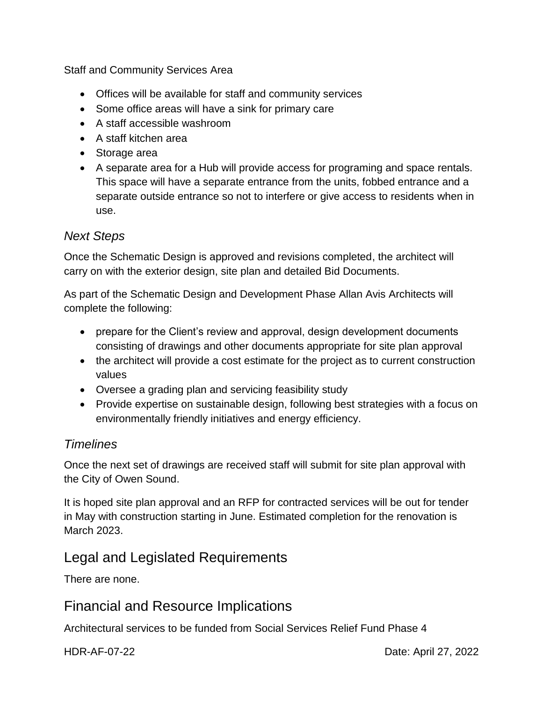Staff and Community Services Area

- Offices will be available for staff and community services
- Some office areas will have a sink for primary care
- A staff accessible washroom
- A staff kitchen area
- Storage area
- A separate area for a Hub will provide access for programing and space rentals. This space will have a separate entrance from the units, fobbed entrance and a separate outside entrance so not to interfere or give access to residents when in use.

#### *Next Steps*

Once the Schematic Design is approved and revisions completed, the architect will carry on with the exterior design, site plan and detailed Bid Documents.

As part of the Schematic Design and Development Phase Allan Avis Architects will complete the following:

- prepare for the Client's review and approval, design development documents consisting of drawings and other documents appropriate for site plan approval
- the architect will provide a cost estimate for the project as to current construction values
- Oversee a grading plan and servicing feasibility study
- Provide expertise on sustainable design, following best strategies with a focus on environmentally friendly initiatives and energy efficiency.

#### *Timelines*

Once the next set of drawings are received staff will submit for site plan approval with the City of Owen Sound.

It is hoped site plan approval and an RFP for contracted services will be out for tender in May with construction starting in June. Estimated completion for the renovation is March 2023.

## Legal and Legislated Requirements

There are none.

## Financial and Resource Implications

Architectural services to be funded from Social Services Relief Fund Phase 4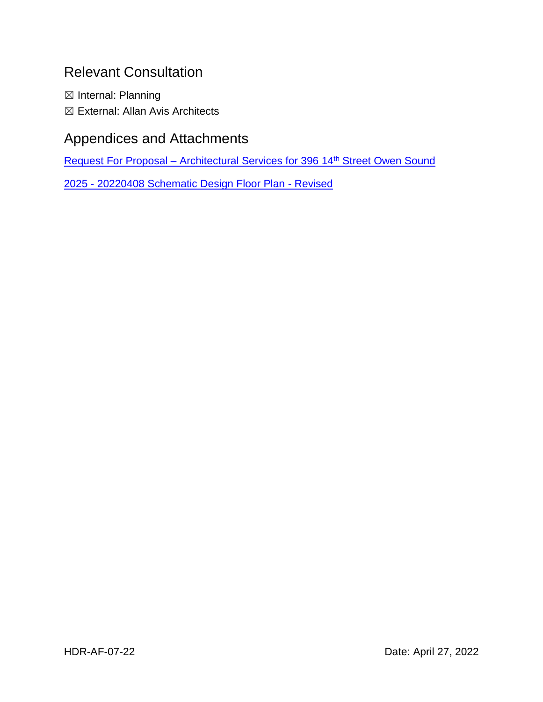# Relevant Consultation

☒ Internal: Planning ☒ External: Allan Avis Architects

# Appendices and Attachments

Request For Proposal – [Architectural Services for 396 14](https://docs.grey.ca/share/public?nodeRef=workspace://SpacesStore/7f0eba56-1905-4ffb-968c-13a8041e4881)<sup>th</sup> Street Owen Sound

2025 - [20220408 Schematic Design Floor Plan -](https://docs.grey.ca/share/public?nodeRef=workspace://SpacesStore/3e1f2c7f-9909-459b-af69-b74f5ffa53b0) Revised